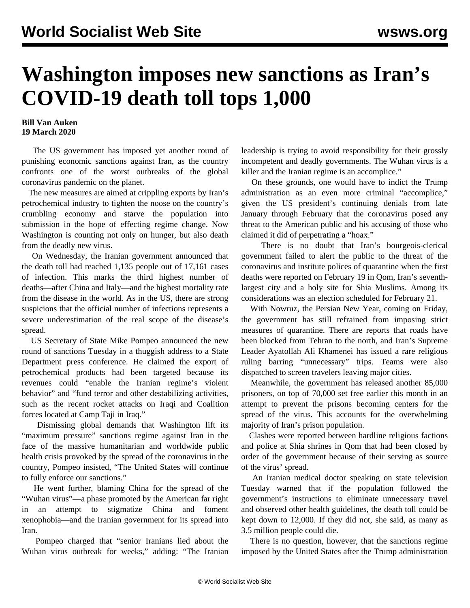## **Washington imposes new sanctions as Iran's COVID-19 death toll tops 1,000**

## **Bill Van Auken 19 March 2020**

 The US government has imposed yet another round of punishing economic sanctions against Iran, as the country confronts one of the worst outbreaks of the global coronavirus pandemic on the planet.

 The new measures are aimed at crippling exports by Iran's petrochemical industry to tighten the noose on the country's crumbling economy and starve the population into submission in the hope of effecting regime change. Now Washington is counting not only on hunger, but also death from the deadly new virus.

 On Wednesday, the Iranian government announced that the death toll had reached 1,135 people out of 17,161 cases of infection. This marks the third highest number of deaths—after China and Italy—and the highest mortality rate from the disease in the world. As in the US, there are strong suspicions that the official number of infections represents a severe underestimation of the real scope of the disease's spread.

 US Secretary of State Mike Pompeo announced the new round of sanctions Tuesday in a thuggish address to a State Department press conference. He claimed the export of petrochemical products had been targeted because its revenues could "enable the Iranian regime's violent behavior" and "fund terror and other destabilizing activities, such as the recent rocket attacks on Iraqi and Coalition forces located at Camp Taji in Iraq."

 Dismissing global demands that Washington lift its "maximum pressure" sanctions regime against Iran in the face of the massive humanitarian and worldwide public health crisis provoked by the spread of the coronavirus in the country, Pompeo insisted, "The United States will continue to fully enforce our sanctions."

 He went further, blaming China for the spread of the "Wuhan virus"—a phase promoted by the American far right in an attempt to stigmatize China and foment xenophobia—and the Iranian government for its spread into Iran.

 Pompeo charged that "senior Iranians lied about the Wuhan virus outbreak for weeks," adding: "The Iranian leadership is trying to avoid responsibility for their grossly incompetent and deadly governments. The Wuhan virus is a killer and the Iranian regime is an accomplice."

 On these grounds, one would have to indict the Trump administration as an even more criminal "accomplice," given the US president's continuing denials from late January through February that the coronavirus posed any threat to the American public and his accusing of those who claimed it did of perpetrating a "hoax."

 There is no doubt that Iran's bourgeois-clerical government failed to alert the public to the threat of the coronavirus and institute polices of quarantine when the first deaths were reported on February 19 in Qom, Iran's seventhlargest city and a holy site for Shia Muslims. Among its considerations was an election scheduled for February 21.

 With Nowruz, the Persian New Year, coming on Friday, the government has still refrained from imposing strict measures of quarantine. There are reports that roads have been blocked from Tehran to the north, and Iran's Supreme Leader Ayatollah Ali Khamenei has issued a rare religious ruling barring "unnecessary" trips. Teams were also dispatched to screen travelers leaving major cities.

 Meanwhile, the government has released another 85,000 prisoners, on top of 70,000 set free earlier this month in an attempt to prevent the prisons becoming centers for the spread of the virus. This accounts for the overwhelming majority of Iran's prison population.

 Clashes were reported between hardline religious factions and police at Shia shrines in Qom that had been closed by order of the government because of their serving as source of the virus' spread.

 An Iranian medical doctor speaking on state television Tuesday warned that if the population followed the government's instructions to eliminate unnecessary travel and observed other health guidelines, the death toll could be kept down to 12,000. If they did not, she said, as many as 3.5 million people could die.

 There is no question, however, that the sanctions regime imposed by the United States after the Trump administration